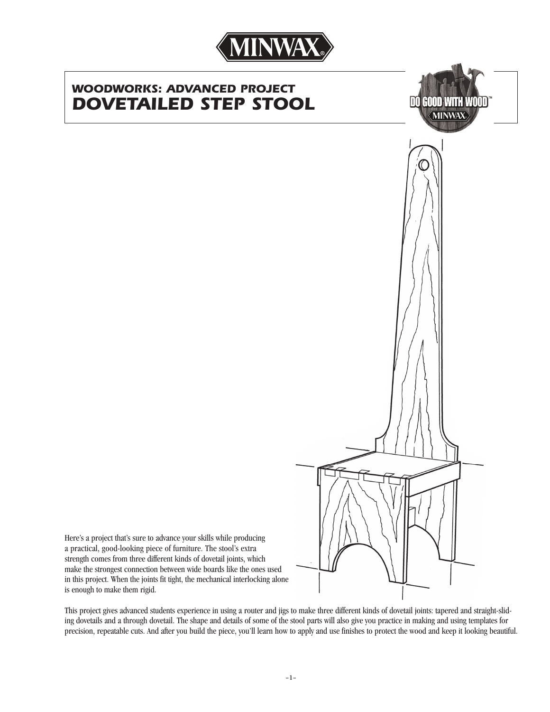

# *WOODWORKS: ADVANCED PROJECT DOVETAILED STEP STOOL*





Here's a project that's sure to advance your skills while producing a practical, good-looking piece of furniture. The stool's extra strength comes from three different kinds of dovetail joints, which make the strongest connection between wide boards like the ones used in this project. When the joints fit tight, the mechanical interlocking alone is enough to make them rigid.

This project gives advanced students experience in using a router and jigs to make three different kinds of dovetail joints: tapered and straight-sliding dovetails and a through dovetail. The shape and details of some of the stool parts will also give you practice in making and using templates for precision, repeatable cuts. And after you build the piece, you'll learn how to apply and use finishes to protect the wood and keep it looking beautiful.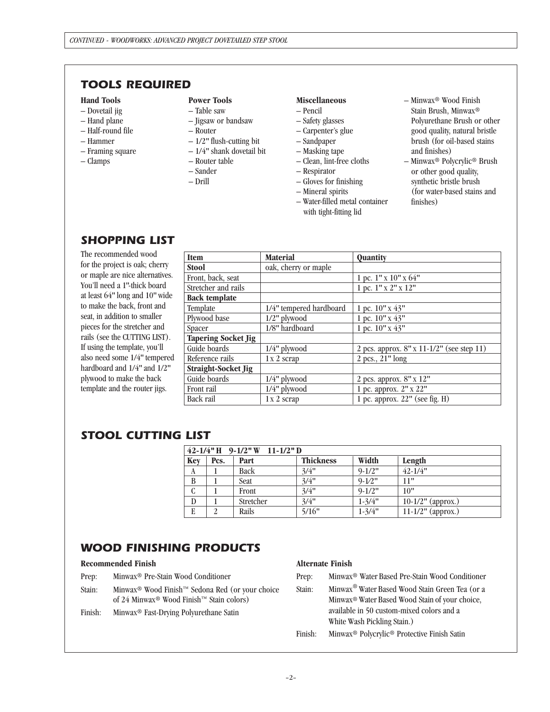# *TOOLS REQUIRED*

### **Hand Tools**

- Dovetail jig
- Hand plane
- Half-round file
- Hammer
- Framing square
- Clamps

# **Power Tools**

- Table saw
- Jigsaw or bandsaw
- Router
- 1/2*"* flush-cutting bit
- 1/4*"* shank dovetail bit
- Router table
- Sander
- Drill

#### **Miscellaneous**

- Pencil
- Safety glasses
- Carpenter's glue
- Sandpaper
- Masking tape
- Clean, lint-free cloths
- Respirator
- Gloves for finishing
- Mineral spirits
- Water-filled metal container with tight-fitting lid
- Minwax® Wood Finish Stain Brush, Minwax® Polyurethane Brush or other good quality, natural bristle brush (for oil-based stains and finishes)
- Minwax® Polycrylic® Brush or other good quality, synthetic bristle brush (for water-based stains and finishes)

# *SHOPPING LIST*

The recommended wood for the project is oak; cherry or maple are nice alternatives. You'll need a 1*"*-thick board at least 64*"* long and 10*"* wide to make the back, front and seat, in addition to smaller pieces for the stretcher and rails (see the CUTTING LIST). If using the template, you'll also need some 1/4*"* tempered hardboard and 1/4*"* and 1/2*"* plywood to make the back template and the router jigs.

| <b>Item</b>                | <b>Material</b>         | Quantity                                  |
|----------------------------|-------------------------|-------------------------------------------|
| <b>Stool</b>               | oak, cherry or maple    |                                           |
| Front, back, seat          |                         | 1 pc. 1" x 10" x 64"                      |
| Stretcher and rails        |                         | 1 pc. 1" x 2" x 12"                       |
| <b>Back template</b>       |                         |                                           |
| Template                   | 1/4" tempered hardboard | 1 pc. 10" x 43"                           |
| Plywood base               | $1/2$ " plywood         | 1 pc. 10" x 43"                           |
| Spacer                     | 1/8" hardboard          | 1 pc. 10" x 43"                           |
| <b>Tapering Socket Jig</b> |                         |                                           |
| Guide boards               | $1/4"$ plywood          | 2 pcs. approx. 8" x 11-1/2" (see step 11) |
| Reference rails            | 1 x 2 scrap             | 2 pcs., 21" long                          |
| Straight-Socket Jig        |                         |                                           |
| Guide boards               | $1/4$ " plywood         | 2 pcs. approx. 8" x 12"                   |
| Front rail                 | $1/4"$ plywood          | 1 pc. approx. 2" x 22"                    |
| Back rail                  | $1x2$ scrap             | 1 pc. approx. 22" (see fig. H)            |

# *STOOL CUTTING LIST*

| $42 - 1/4$ " H 9-1/2" W 11-1/2" D |      |           |                  |                     |                      |  |  |
|-----------------------------------|------|-----------|------------------|---------------------|----------------------|--|--|
| <b>Key</b>                        | Pcs. | Part      | <b>Thickness</b> | Width               | Length               |  |  |
| A                                 |      | Back      | 3/4"             | $9 - 1/2$ "         | $42 - 1/4$ "         |  |  |
| B                                 |      | Seat      | 3/4"             | $9 - 1/2$ "         | 11"                  |  |  |
| $\mathcal{C}$                     |      | Front     | 3/4"             | $9 - 1/2$ "         | 10"                  |  |  |
| D                                 |      | Stretcher | 3/4"             | $1 - \frac{3}{4}$ " | $10-1/2$ " (approx.) |  |  |
| E                                 |      | Rails     | 5/16"            | $1 - \frac{3}{4}$ " | $11-1/2"$ (approx.)  |  |  |

# *WOOD FINISHING PRODUCTS*

## **Recommended Finish**

- Prep: Minwax® Pre-Stain Wood Conditioner
- Stain: Minwax® Wood Finish™ Sedona Red (or your choice of 24 Minwax® Wood Finish™ Stain colors)
- Finish: Minwax® Fast-Drying Polyurethane Satin

## **Alternate Finish**

- Prep: Minwax® Water Based Pre-Stain Wood Conditioner
- Stain: Minwax® Water Based Wood Stain Green Tea (or a Minwax® Water Based Wood Stain of your choice, available in 50 custom-mixed colors and a White Wash Pickling Stain.)
- Finish: Minwax® Polycrylic® Protective Finish Satin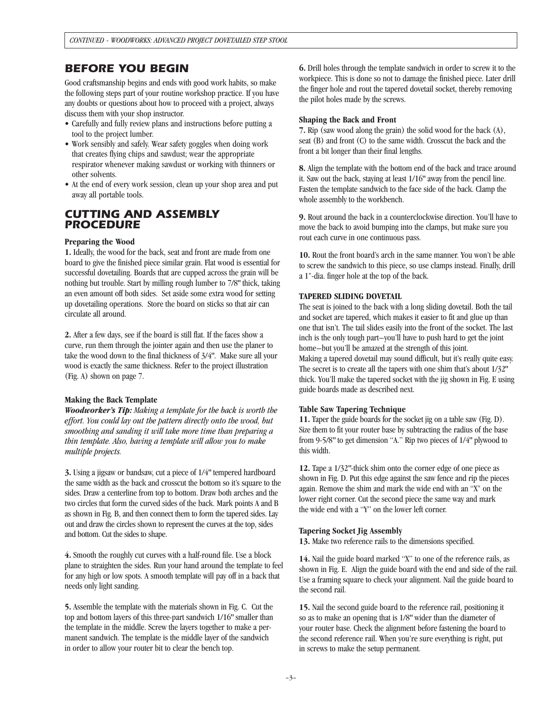# *BEFORE YOU BEGIN*

Good craftsmanship begins and ends with good work habits, so make the following steps part of your routine workshop practice. If you have any doubts or questions about how to proceed with a project, always discuss them with your shop instructor.

- Carefully and fully review plans and instructions before putting a tool to the project lumber.
- Work sensibly and safely. Wear safety goggles when doing work that creates flying chips and sawdust; wear the appropriate respirator whenever making sawdust or working with thinners or other solvents.
- At the end of every work session, clean up your shop area and put away all portable tools.

## *CUTTING AND ASSEMBLY PROCEDURE*

### **Preparing the Wood**

**1.** Ideally, the wood for the back, seat and front are made from one board to give the finished piece similar grain. Flat wood is essential for successful dovetailing. Boards that are cupped across the grain will be nothing but trouble. Start by milling rough lumber to 7/8*"* thick, taking an even amount off both sides. Set aside some extra wood for setting up dovetailing operations. Store the board on sticks so that air can circulate all around.

**2.** After a few days, see if the board is still flat. If the faces show a curve, run them through the jointer again and then use the planer to take the wood down to the final thickness of 3/4*"*. Make sure all your wood is exactly the same thickness. Refer to the project illustration (Fig. A) shown on page 7.

### **Making the Back Template**

*Woodworker's Tip: Making a template for the back is worth the effort. You could lay out the pattern directly onto the wood, but smoothing and sanding it will take more time than preparing a thin template. Also, having a template will allow you to make multiple projects.*

**3.** Using a jigsaw or bandsaw, cut a piece of 1/4*"* tempered hardboard the same width as the back and crosscut the bottom so it's square to the sides. Draw a centerline from top to bottom. Draw both arches and the two circles that form the curved sides of the back. Mark points A and B as shown in Fig. B, and then connect them to form the tapered sides. Lay out and draw the circles shown to represent the curves at the top, sides and bottom. Cut the sides to shape.

**4.** Smooth the roughly cut curves with a half-round file. Use a block plane to straighten the sides. Run your hand around the template to feel for any high or low spots. A smooth template will pay off in a back that needs only light sanding.

**5.** Assemble the template with the materials shown in Fig. C. Cut the top and bottom layers of this three-part sandwich 1/16*"* smaller than the template in the middle. Screw the layers together to make a permanent sandwich. The template is the middle layer of the sandwich in order to allow your router bit to clear the bench top.

**6.** Drill holes through the template sandwich in order to screw it to the workpiece. This is done so not to damage the finished piece. Later drill the finger hole and rout the tapered dovetail socket, thereby removing the pilot holes made by the screws.

#### **Shaping the Back and Front**

**7.** Rip (saw wood along the grain) the solid wood for the back (A), seat (B) and front (C) to the same width. Crosscut the back and the front a bit longer than their final lengths.

**8.** Align the template with the bottom end of the back and trace around it. Saw out the back, staying at least 1/16*"* away from the pencil line. Fasten the template sandwich to the face side of the back. Clamp the whole assembly to the workbench.

**9.** Rout around the back in a counterclockwise direction. You'll have to move the back to avoid bumping into the clamps, but make sure you rout each curve in one continuous pass.

**10.** Rout the front board's arch in the same manner. You won't be able to screw the sandwich to this piece, so use clamps instead. Finally, drill a 1"-dia. finger hole at the top of the back.

### **TAPERED SLIDING DOVETAIL**

The seat is joined to the back with a long sliding dovetail. Both the tail and socket are tapered, which makes it easier to fit and glue up than one that isn't. The tail slides easily into the front of the socket. The last inch is the only tough part–you'll have to push hard to get the joint home–but you'll be amazed at the strength of this joint. Making a tapered dovetail may sound difficult, but it's really quite easy. The secret is to create all the tapers with one shim that's about 1/32*"* thick. You'll make the tapered socket with the jig shown in Fig. E using guide boards made as described next.

#### **Table Saw Tapering Technique**

**11.** Taper the guide boards for the socket jig on a table saw (Fig. D). Size them to fit your router base by subtracting the radius of the base from 9-5/8*"* to get dimension "A." Rip two pieces of 1/4*"* plywood to this width.

**12.** Tape a 1/32*"*-thick shim onto the corner edge of one piece as shown in Fig. D. Put this edge against the saw fence and rip the pieces again. Remove the shim and mark the wide end with an "X" on the lower right corner. Cut the second piece the same way and mark the wide end with a "Y" on the lower left corner.

### **Tapering Socket Jig Assembly**

**13.** Make two reference rails to the dimensions specified.

**14.** Nail the guide board marked "X" to one of the reference rails, as shown in Fig. E. Align the guide board with the end and side of the rail. Use a framing square to check your alignment. Nail the guide board to the second rail.

**15.** Nail the second guide board to the reference rail, positioning it so as to make an opening that is 1/8*"* wider than the diameter of your router base. Check the alignment before fastening the board to the second reference rail. When you're sure everything is right, put in screws to make the setup permanent.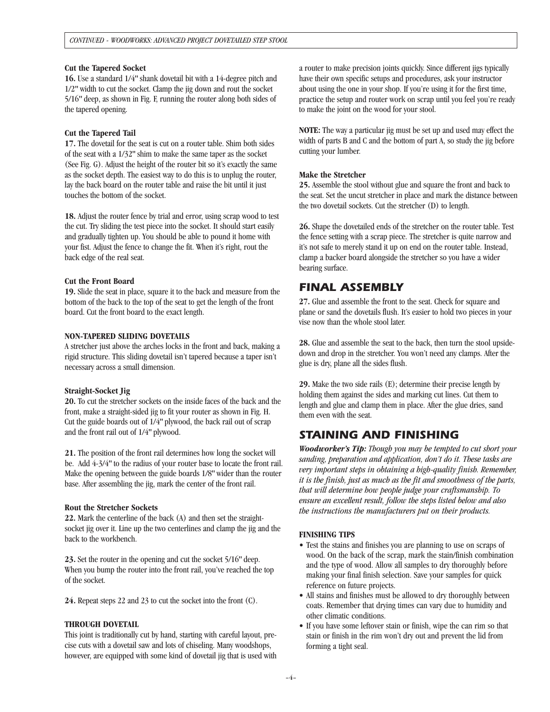#### **Cut the Tapered Socket**

**16.** Use a standard 1/4*"* shank dovetail bit with a 14-degree pitch and 1/2*"* width to cut the socket. Clamp the jig down and rout the socket 5/16*"* deep, as shown in Fig. F, running the router along both sides of the tapered opening.

#### **Cut the Tapered Tail**

**17.** The dovetail for the seat is cut on a router table. Shim both sides of the seat with a 1/32*"* shim to make the same taper as the socket (See Fig. G). Adjust the height of the router bit so it's exactly the same as the socket depth. The easiest way to do this is to unplug the router, lay the back board on the router table and raise the bit until it just touches the bottom of the socket.

**18.** Adjust the router fence by trial and error, using scrap wood to test the cut. Try sliding the test piece into the socket. It should start easily and gradually tighten up. You should be able to pound it home with your fist. Adjust the fence to change the fit. When it's right, rout the back edge of the real seat.

#### **Cut the Front Board**

**19.** Slide the seat in place, square it to the back and measure from the bottom of the back to the top of the seat to get the length of the front board. Cut the front board to the exact length.

#### **NON-TAPERED SLIDING DOVETAILS**

A stretcher just above the arches locks in the front and back, making a rigid structure. This sliding dovetail isn't tapered because a taper isn't necessary across a small dimension.

#### **Straight-Socket Jig**

**20.** To cut the stretcher sockets on the inside faces of the back and the front, make a straight-sided jig to fit your router as shown in Fig. H. Cut the guide boards out of 1/4*"* plywood, the back rail out of scrap and the front rail out of 1/4*"* plywood.

**21.** The position of the front rail determines how long the socket will be. Add 4-3/4*"* to the radius of your router base to locate the front rail. Make the opening between the guide boards 1/8*"* wider than the router base. After assembling the jig, mark the center of the front rail.

#### **Rout the Stretcher Sockets**

**22.** Mark the centerline of the back (A) and then set the straightsocket jig over it. Line up the two centerlines and clamp the jig and the back to the workbench.

**23.** Set the router in the opening and cut the socket 5/16*"* deep. When you bump the router into the front rail, you've reached the top of the socket.

**24.** Repeat steps 22 and 23 to cut the socket into the front (C).

#### **THROUGH DOVETAIL**

This joint is traditionally cut by hand, starting with careful layout, precise cuts with a dovetail saw and lots of chiseling. Many woodshops, however, are equipped with some kind of dovetail jig that is used with a router to make precision joints quickly. Since different jigs typically have their own specific setups and procedures, ask your instructor about using the one in your shop. If you're using it for the first time, practice the setup and router work on scrap until you feel you're ready to make the joint on the wood for your stool.

**NOTE:** The way a particular jig must be set up and used may effect the width of parts B and C and the bottom of part A, so study the jig before cutting your lumber.

#### **Make the Stretcher**

**25.** Assemble the stool without glue and square the front and back to the seat. Set the uncut stretcher in place and mark the distance between the two dovetail sockets. Cut the stretcher (D) to length.

**26.** Shape the dovetailed ends of the stretcher on the router table. Test the fence setting with a scrap piece. The stretcher is quite narrow and it's not safe to merely stand it up on end on the router table. Instead, clamp a backer board alongside the stretcher so you have a wider bearing surface.

## *FINAL ASSEMBLY*

**27.** Glue and assemble the front to the seat. Check for square and plane or sand the dovetails flush. It's easier to hold two pieces in your vise now than the whole stool later.

**28.** Glue and assemble the seat to the back, then turn the stool upsidedown and drop in the stretcher. You won't need any clamps. After the glue is dry, plane all the sides flush.

**29.** Make the two side rails (E); determine their precise length by holding them against the sides and marking cut lines. Cut them to length and glue and clamp them in place. After the glue dries, sand them even with the seat.

## *STAINING AND FINISHING*

*Woodworker's Tip: Though you may be tempted to cut short your sanding, preparation and application, don't do it. These tasks are very important steps in obtaining a high-quality finish. Remember, it is the finish, just as much as the fit and smoothness of the parts, that will determine how people judge your craftsmanship. To ensure an excellent result, follow the steps listed below and also the instructions the manufacturers put on their products.*

#### **FINISHING TIPS**

- Test the stains and finishes you are planning to use on scraps of wood. On the back of the scrap, mark the stain/finish combination and the type of wood. Allow all samples to dry thoroughly before making your final finish selection. Save your samples for quick reference on future projects.
- All stains and finishes must be allowed to dry thoroughly between coats. Remember that drying times can vary due to humidity and other climatic conditions.
- If you have some leftover stain or finish, wipe the can rim so that stain or finish in the rim won't dry out and prevent the lid from forming a tight seal.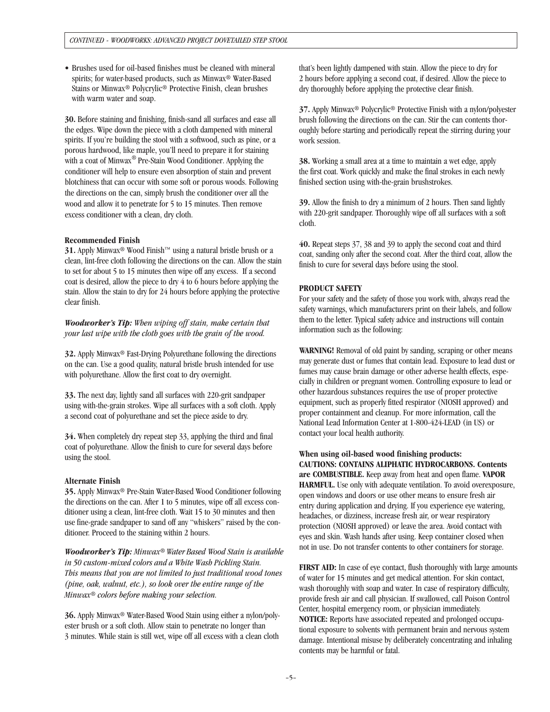• Brushes used for oil-based finishes must be cleaned with mineral spirits; for water-based products, such as Minwax® Water-Based Stains or Minwax® Polycrylic® Protective Finish, clean brushes with warm water and soap.

**30.** Before staining and finishing, finish-sand all surfaces and ease all the edges. Wipe down the piece with a cloth dampened with mineral spirits. If you're building the stool with a softwood, such as pine, or a porous hardwood, like maple, you'll need to prepare it for staining with a coat of Minwax ® Pre-Stain Wood Conditioner. Applying the conditioner will help to ensure even absorption of stain and prevent blotchiness that can occur with some soft or porous woods. Following the directions on the can, simply brush the conditioner over all the wood and allow it to penetrate for 5 to 15 minutes. Then remove excess conditioner with a clean, dry cloth.

#### **Recommended Finish**

**31.** Apply Minwax® Wood Finish™ using a natural bristle brush or a clean, lint-free cloth following the directions on the can. Allow the stain to set for about 5 to 15 minutes then wipe off any excess. If a second coat is desired, allow the piece to dry 4 to 6 hours before applying the stain. Allow the stain to dry for 24 hours before applying the protective clear finish.

*Woodworker's Tip: When wiping off stain, make certain that your last wipe with the cloth goes with the grain of the wood.* 

**32.** Apply Minwax® Fast-Drying Polyurethane following the directions on the can. Use a good quality, natural bristle brush intended for use with polyurethane. Allow the first coat to dry overnight.

**33.** The next day, lightly sand all surfaces with 220-grit sandpaper using with-the-grain strokes. Wipe all surfaces with a soft cloth. Apply a second coat of polyurethane and set the piece aside to dry.

**34.** When completely dry repeat step 33, applying the third and final coat of polyurethane. Allow the finish to cure for several days before using the stool.

#### **Alternate Finish**

**35.** Apply Minwax® Pre-Stain Water-Based Wood Conditioner following the directions on the can. After 1 to 5 minutes, wipe off all excess conditioner using a clean, lint-free cloth. Wait 15 to 30 minutes and then use fine-grade sandpaper to sand off any "whiskers" raised by the conditioner. Proceed to the staining within 2 hours.

*Woodworker's Tip: Minwax® Water Based Wood Stain is available in 50 custom-mixed colors and a White Wash Pickling Stain. This means that you are not limited to just traditional wood tones (pine, oak, walnut, etc.), so look over the entire range of the Minwax® colors before making your selection.*

**36.** Apply Minwax® Water-Based Wood Stain using either a nylon/polyester brush or a soft cloth. Allow stain to penetrate no longer than 3 minutes. While stain is still wet, wipe off all excess with a clean cloth that's been lightly dampened with stain. Allow the piece to dry for 2 hours before applying a second coat, if desired. Allow the piece to dry thoroughly before applying the protective clear finish.

**37.** Apply Minwax® Polycrylic® Protective Finish with a nylon/polyester brush following the directions on the can. Stir the can contents thoroughly before starting and periodically repeat the stirring during your work session.

**38.** Working a small area at a time to maintain a wet edge, apply the first coat. Work quickly and make the final strokes in each newly finished section using with-the-grain brushstrokes.

**39.** Allow the finish to dry a minimum of 2 hours. Then sand lightly with 220-grit sandpaper. Thoroughly wipe off all surfaces with a soft cloth.

**40.** Repeat steps 37, 38 and 39 to apply the second coat and third coat, sanding only after the second coat. After the third coat, allow the finish to cure for several days before using the stool.

#### **PRODUCT SAFETY**

For your safety and the safety of those you work with, always read the safety warnings, which manufacturers print on their labels, and follow them to the letter. Typical safety advice and instructions will contain information such as the following:

**WARNING!** Removal of old paint by sanding, scraping or other means may generate dust or fumes that contain lead. Exposure to lead dust or fumes may cause brain damage or other adverse health effects, especially in children or pregnant women. Controlling exposure to lead or other hazardous substances requires the use of proper protective equipment, such as properly fitted respirator (NIOSH approved) and proper containment and cleanup. For more information, call the National Lead Information Center at 1-800-424-LEAD (in US) or contact your local health authority.

**When using oil-based wood finishing products: CAUTIONS: CONTAINS ALIPHATIC HYDROCARBONS. Contents are COMBUSTIBLE.** Keep away from heat and open flame. **VAPOR HARMFUL.** Use only with adequate ventilation. To avoid overexposure, open windows and doors or use other means to ensure fresh air entry during application and drying. If you experience eye watering, headaches, or dizziness, increase fresh air, or wear respiratory protection (NIOSH approved) or leave the area. Avoid contact with eyes and skin. Wash hands after using. Keep container closed when not in use. Do not transfer contents to other containers for storage.

**FIRST AID:** In case of eye contact, flush thoroughly with large amounts of water for 15 minutes and get medical attention. For skin contact, wash thoroughly with soap and water. In case of respiratory difficulty, provide fresh air and call physician. If swallowed, call Poison Control Center, hospital emergency room, or physician immediately. **NOTICE:** Reports have associated repeated and prolonged occupational exposure to solvents with permanent brain and nervous system damage. Intentional misuse by deliberately concentrating and inhaling contents may be harmful or fatal.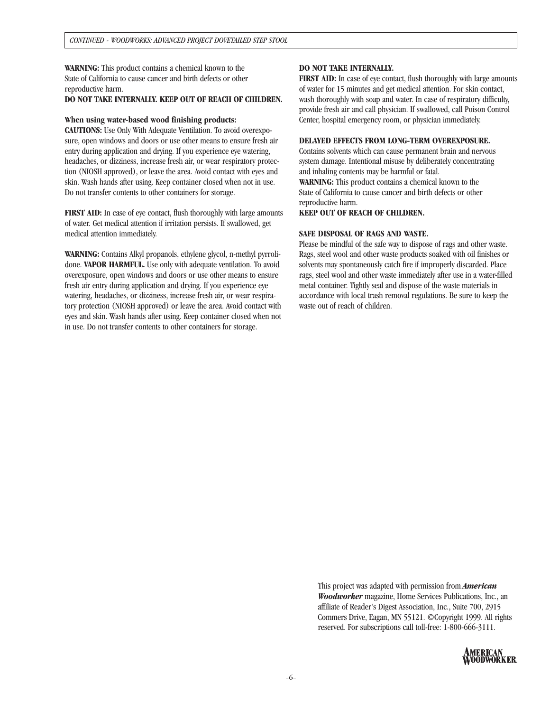**WARNING:** This product contains a chemical known to the State of California to cause cancer and birth defects or other reproductive harm.

## **DO NOT TAKE INTERNALLY. KEEP OUT OF REACH OF CHILDREN.**

#### **When using water-based wood finishing products:**

**CAUTIONS:** Use Only With Adequate Ventilation. To avoid overexposure, open windows and doors or use other means to ensure fresh air entry during application and drying. If you experience eye watering, headaches, or dizziness, increase fresh air, or wear respiratory protection (NIOSH approved), or leave the area. Avoid contact with eyes and skin. Wash hands after using. Keep container closed when not in use. Do not transfer contents to other containers for storage.

**FIRST AID:** In case of eye contact, flush thoroughly with large amounts of water. Get medical attention if irritation persists. If swallowed, get medical attention immediately.

**WARNING:** Contains Alkyl propanols, ethylene glycol, n-methyl pyrrolidone. **VAPOR HARMFUL.** Use only with adequate ventilation. To avoid overexposure, open windows and doors or use other means to ensure fresh air entry during application and drying. If you experience eye watering, headaches, or dizziness, increase fresh air, or wear respiratory protection (NIOSH approved) or leave the area. Avoid contact with eyes and skin. Wash hands after using. Keep container closed when not in use. Do not transfer contents to other containers for storage.

#### **DO NOT TAKE INTERNALLY.**

**FIRST AID:** In case of eye contact, flush thoroughly with large amounts of water for 15 minutes and get medical attention. For skin contact, wash thoroughly with soap and water. In case of respiratory difficulty, provide fresh air and call physician. If swallowed, call Poison Control Center, hospital emergency room, or physician immediately.

#### **DELAYED EFFECTS FROM LONG-TERM OVEREXPOSURE.**

Contains solvents which can cause permanent brain and nervous system damage. Intentional misuse by deliberately concentrating and inhaling contents may be harmful or fatal. **WARNING:** This product contains a chemical known to the

State of California to cause cancer and birth defects or other reproductive harm.

**KEEP OUT OF REACH OF CHILDREN.**

### **SAFE DISPOSAL OF RAGS AND WASTE.**

Please be mindful of the safe way to dispose of rags and other waste. Rags, steel wool and other waste products soaked with oil finishes or solvents may spontaneously catch fire if improperly discarded. Place rags, steel wool and other waste immediately after use in a water-filled metal container. Tightly seal and dispose of the waste materials in accordance with local trash removal regulations. Be sure to keep the waste out of reach of children.

This project was adapted with permission from *American Woodworker* magazine, Home Services Publications, Inc., an affiliate of Reader's Digest Association, Inc., Suite 700, 2915 Commers Drive, Eagan, MN 55121. ©Copyright 1999. All rights reserved. For subscriptions call toll-free: 1-800-666-3111.

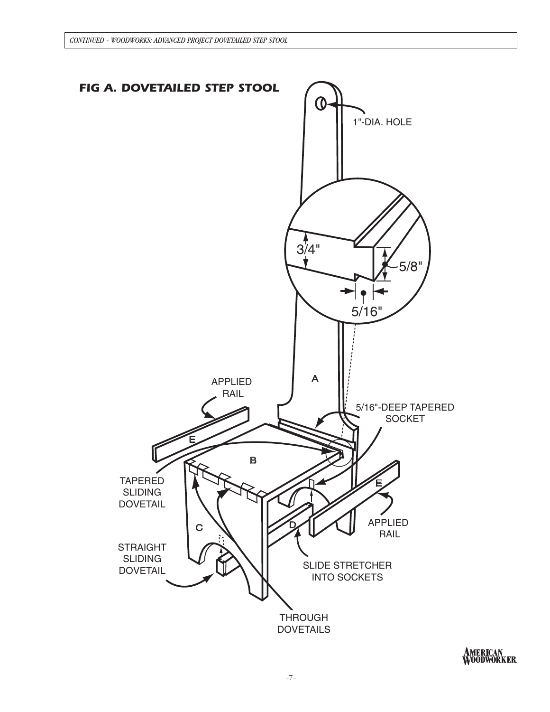

AMERICAN<br>WOODWORKER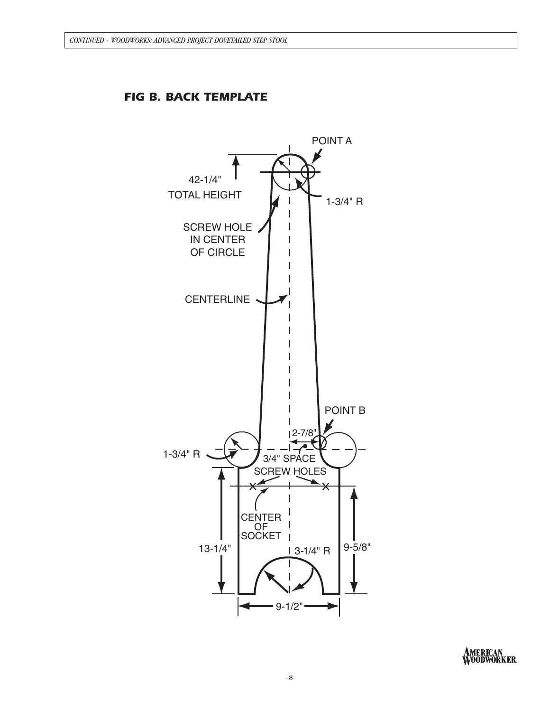

*FIG B. BACK TEMPLATE*

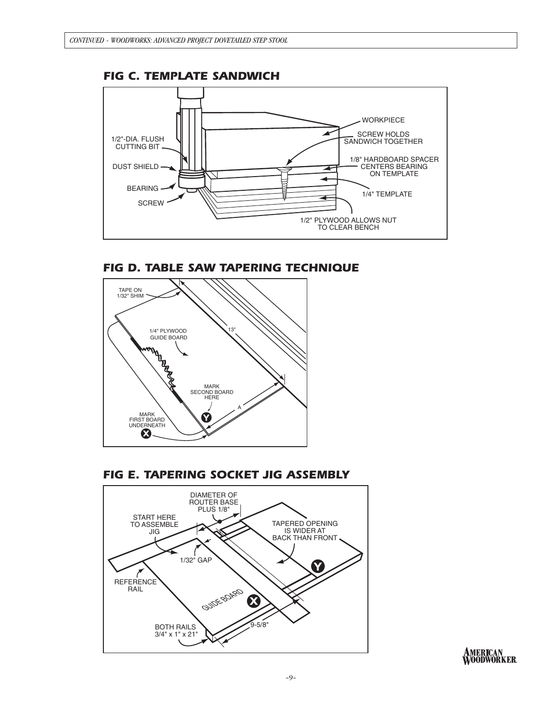

# *FIG D. TABLE SAW TAPERING TECHNIQUE*